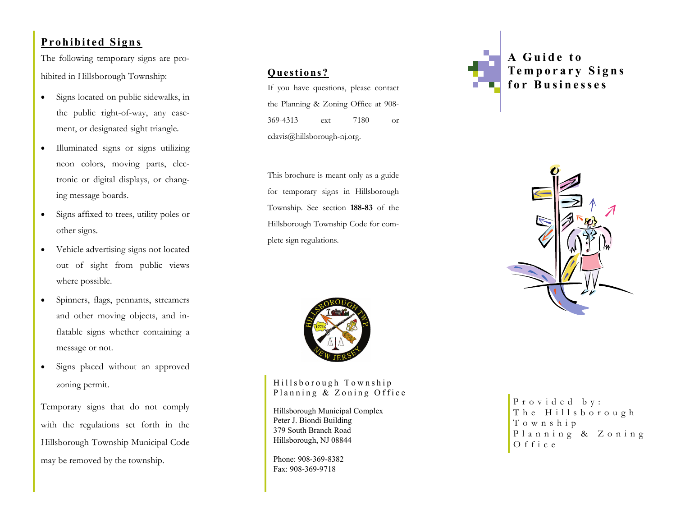# **Prohibited Signs**

The following temporary signs are prohibited in Hillsborough Township:

- $\bullet$  Signs located on public sidewalks, in the public right-of-way, any easement, or designated sight triangle.
- $\bullet$  Illuminated signs or signs utilizing neon colors, moving parts, electronic or digital displays, or changing message boards.
- $\bullet$  Signs affixed to trees, utility poles or other signs.
- $\bullet$  Vehicle advertising signs not located out of sight from public views where possible.
- $\bullet$  Spinners, flags, pennants, streamers and other moving objects, and inflatable signs whether containing a message or not.
- $\bullet$  Signs placed without an approved zoning permit.

Temporary signs that do not comply with the regulations set forth in the Hillsborough Township Municipal Code may be removed by the township.

# **Questions?**

If you have questions, please contact the Planning & Zoning Office at 908- 369-4313 ext 7180 or cdavis@hillsborough-nj.org.

This brochure is meant only as a guide for temporary signs in Hillsborough Township. See section **188-83** of the Hillsborough Township Code for complete sign regulations.



Hillsborough Township Planning & Zoning Office

Hillsborough Municipal Complex Peter J. Biondi Building 379 South Branch Road Hillsborough, NJ 08844

Phone: 908-369-8382 Fax: 908-369-9718



**A Guide to Temporary Signs for Businesses** 



Provided by: The Hillsborough Township Planning & Zoning Office